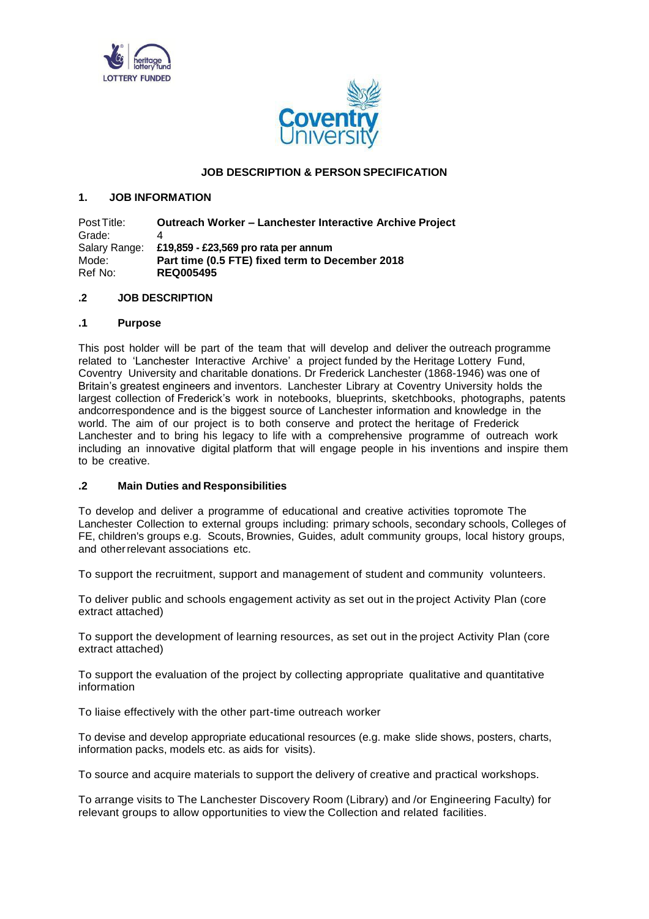



## **JOB DESCRIPTION & PERSON SPECIFICATION**

## **1. JOB INFORMATION**

Post Title: **Outreach Worker – Lanchester Interactive Archive Project** Grade: 4 Salary Range: **£19,859 - £23,569 pro rata per annum** Mode: **Part time (0.5 FTE) fixed term to December 2018** Ref No: **REQ005495**

## **.2 JOB DESCRIPTION**

## **.1 Purpose**

This post holder will be part of the team that will develop and deliver the outreach programme related to 'Lanchester Interactive Archive' a project funded by the Heritage Lottery Fund, Coventry University and charitable donations. Dr Frederick Lanchester (1868-1946) was one of Britain's greatest engineers and inventors. Lanchester Library at Coventry University holds the largest collection of Frederick's work in notebooks, blueprints, sketchbooks, photographs, patents andcorrespondence and is the biggest source of Lanchester information and knowledge in the world. The aim of our project is to both conserve and protect the heritage of Frederick Lanchester and to bring his legacy to life with a comprehensive programme of outreach work including an innovative digital platform that will engage people in his inventions and inspire them to be creative.

## **.2 Main Duties and Responsibilities**

To develop and deliver a programme of educational and creative activities topromote The Lanchester Collection to external groups including: primary schools, secondary schools, Colleges of FE, children's groups e.g. Scouts, Brownies, Guides, adult community groups, local history groups, and otherrelevant associations etc.

To support the recruitment, support and management of student and community volunteers.

To deliver public and schools engagement activity as set out in the project Activity Plan (core extract attached)

To support the development of learning resources, as set out in the project Activity Plan (core extract attached)

To support the evaluation of the project by collecting appropriate qualitative and quantitative information

To liaise effectively with the other part-time outreach worker

To devise and develop appropriate educational resources (e.g. make slide shows, posters, charts, information packs, models etc. as aids for visits).

To source and acquire materials to support the delivery of creative and practical workshops.

To arrange visits to The Lanchester Discovery Room (Library) and /or Engineering Faculty) for relevant groups to allow opportunities to view the Collection and related facilities.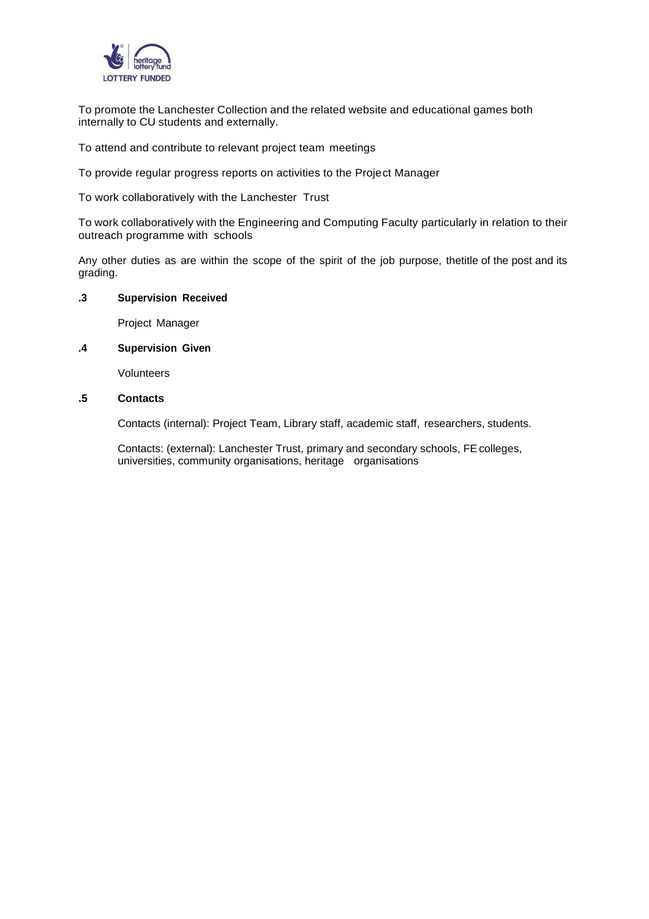

To promote the Lanchester Collection and the related website and educational games both internally to CU students and externally.

To attend and contribute to relevant project team meetings

To provide regular progress reports on activities to the Project Manager

To work collaboratively with the Lanchester Trust

To work collaboratively with the Engineering and Computing Faculty particularly in relation to their outreach programme with schools

Any other duties as are within the scope of the spirit of the job purpose, thetitle of the post and its grading.

### **.3 Supervision Received**

Project Manager

# **.4 Supervision Given**

Volunteers

# **.5 Contacts**

Contacts (internal): Project Team, Library staff, academic staff, researchers, students.

Contacts: (external): Lanchester Trust, primary and secondary schools, FEcolleges, universities, community organisations, heritage organisations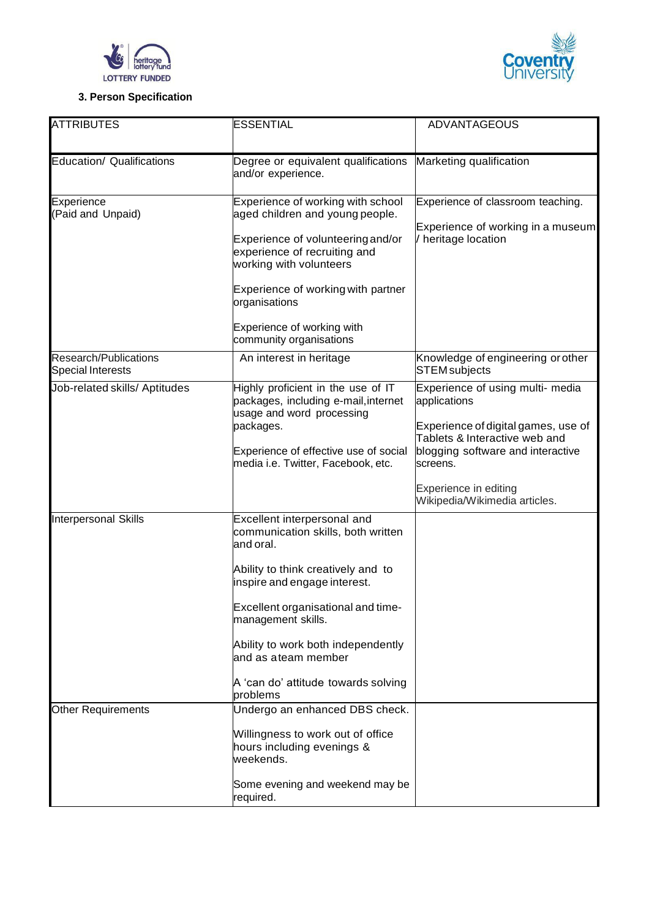



# **3. Person Specification**

| <b>ATTRIBUTES</b>                                 | <b>ESSENTIAL</b>                                                                                                                                                                                                                                                                                                                 | <b>ADVANTAGEOUS</b>                                                                                                                                                                                                                 |
|---------------------------------------------------|----------------------------------------------------------------------------------------------------------------------------------------------------------------------------------------------------------------------------------------------------------------------------------------------------------------------------------|-------------------------------------------------------------------------------------------------------------------------------------------------------------------------------------------------------------------------------------|
|                                                   |                                                                                                                                                                                                                                                                                                                                  |                                                                                                                                                                                                                                     |
| Education/ Qualifications                         | Degree or equivalent qualifications<br>and/or experience.                                                                                                                                                                                                                                                                        | Marketing qualification                                                                                                                                                                                                             |
| Experience<br>(Paid and Unpaid)                   | Experience of working with school<br>aged children and young people.<br>Experience of volunteering and/or<br>experience of recruiting and<br>working with volunteers<br>Experience of working with partner<br>organisations<br>Experience of working with<br>community organisations                                             | Experience of classroom teaching.<br>Experience of working in a museum<br>heritage location                                                                                                                                         |
| Research/Publications<br><b>Special Interests</b> | An interest in heritage                                                                                                                                                                                                                                                                                                          | Knowledge of engineering or other<br><b>STEM</b> subjects                                                                                                                                                                           |
| Job-related skills/ Aptitudes                     | Highly proficient in the use of IT<br>packages, including e-mail, internet<br>usage and word processing<br>packages.<br>Experience of effective use of social<br>media i.e. Twitter, Facebook, etc.                                                                                                                              | Experience of using multi- media<br>applications<br>Experience of digital games, use of<br>Tablets & Interactive web and<br>blogging software and interactive<br>screens.<br>Experience in editing<br>Wikipedia/Wikimedia articles. |
| <b>Interpersonal Skills</b>                       | Excellent interpersonal and<br>communication skills, both written<br>and oral.<br>Ability to think creatively and to<br>inspire and engage interest.<br>Excellent organisational and time-<br>management skills.<br>Ability to work both independently<br>and as ateam member<br>A 'can do' attitude towards solving<br>problems |                                                                                                                                                                                                                                     |
| <b>Other Requirements</b>                         | Undergo an enhanced DBS check.<br>Willingness to work out of office<br>hours including evenings &<br>weekends.<br>Some evening and weekend may be<br>required.                                                                                                                                                                   |                                                                                                                                                                                                                                     |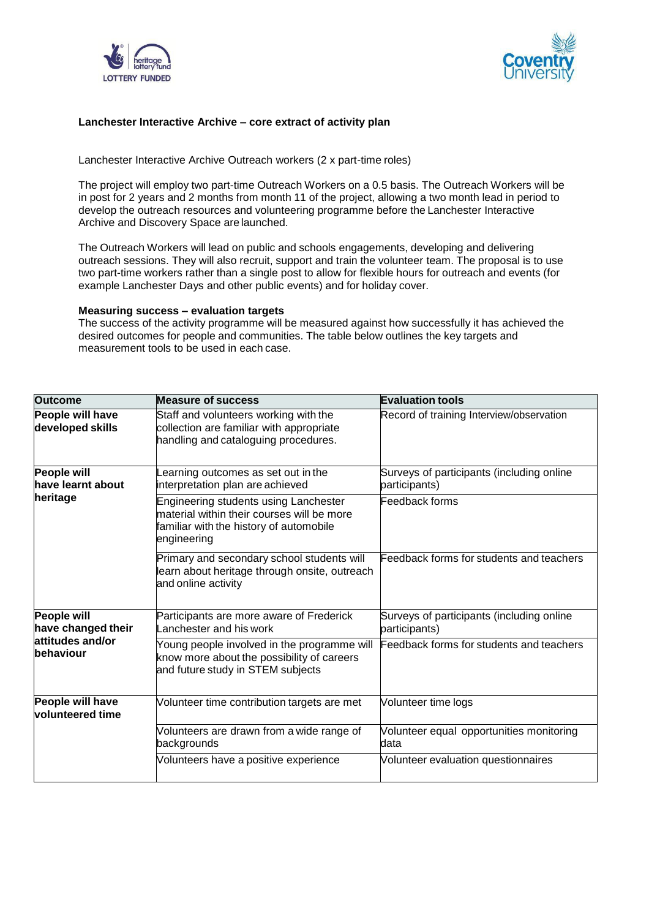



### **Lanchester Interactive Archive – core extract of activity plan**

Lanchester Interactive Archive Outreach workers (2 x part-time roles)

The project will employ two part-time Outreach Workers on a 0.5 basis. The Outreach Workers will be in post for 2 years and 2 months from month 11 of the project, allowing a two month lead in period to develop the outreach resources and volunteering programme before the Lanchester Interactive Archive and Discovery Space are launched.

The Outreach Workers will lead on public and schools engagements, developing and delivering outreach sessions. They will also recruit, support and train the volunteer team. The proposal is to use two part-time workers rather than a single post to allow for flexible hours for outreach and events (for example Lanchester Days and other public events) and for holiday cover.

## **Measuring success – evaluation targets**

The success of the activity programme will be measured against how successfully it has achieved the desired outcomes for people and communities. The table below outlines the key targets and measurement tools to be used in each case.

| <b>Outcome</b>                                                     | <b>Measure of success</b>                                                                                                                     | <b>Evaluation tools</b>                                    |
|--------------------------------------------------------------------|-----------------------------------------------------------------------------------------------------------------------------------------------|------------------------------------------------------------|
| People will have<br>developed skills                               | Staff and volunteers working with the<br>collection are familiar with appropriate<br>handling and cataloguing procedures.                     | Record of training Interview/observation                   |
| People will<br>have learnt about<br>heritage                       | earning outcomes as set out in the<br>interpretation plan are achieved                                                                        | Surveys of participants (including online<br>participants) |
|                                                                    | Engineering students using Lanchester<br>material within their courses will be more<br>familiar with the history of automobile<br>engineering | Feedback forms                                             |
|                                                                    | Primary and secondary school students will<br>learn about heritage through onsite, outreach<br>and online activity                            | Feedback forms for students and teachers                   |
| People will<br>have changed their<br>attitudes and/or<br>behaviour | Participants are more aware of Frederick<br>Lanchester and his work                                                                           | Surveys of participants (including online<br>participants) |
|                                                                    | Young people involved in the programme will<br>know more about the possibility of careers<br>and future study in STEM subjects                | Feedback forms for students and teachers                   |
| People will have<br><b>volunteered time</b>                        | Volunteer time contribution targets are met                                                                                                   | Volunteer time logs                                        |
|                                                                    | Volunteers are drawn from a wide range of<br>backgrounds                                                                                      | Volunteer equal opportunities monitoring<br>data           |
|                                                                    | Volunteers have a positive experience                                                                                                         | Volunteer evaluation questionnaires                        |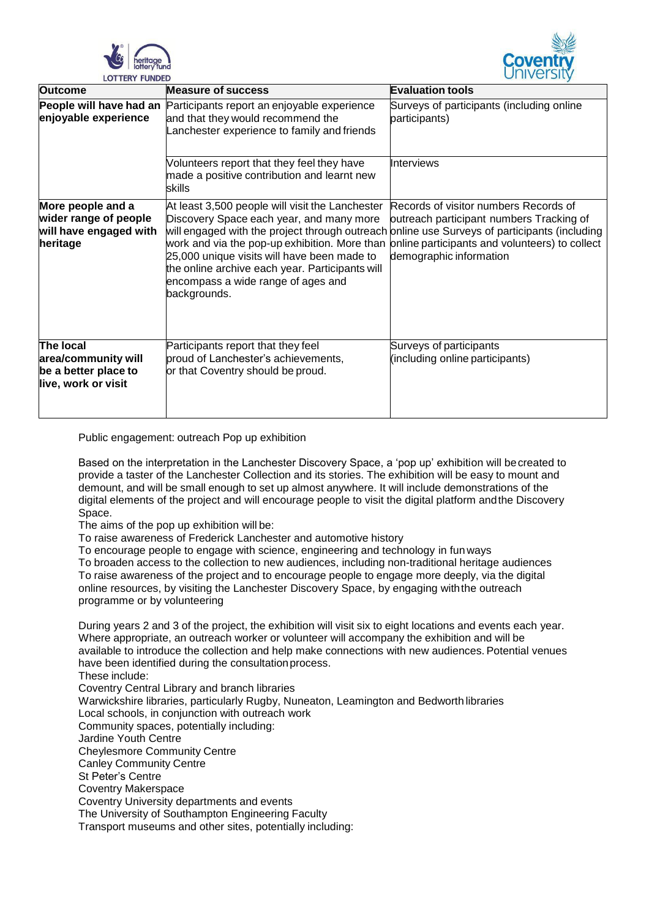



| <b>Outcome</b>                                                                   | <b>Measure of success</b>                                                                                                                                                                                                                                                                                                                                                                            | <b>Evaluation tools</b>                                                                                                                                        |
|----------------------------------------------------------------------------------|------------------------------------------------------------------------------------------------------------------------------------------------------------------------------------------------------------------------------------------------------------------------------------------------------------------------------------------------------------------------------------------------------|----------------------------------------------------------------------------------------------------------------------------------------------------------------|
| People will have had an<br>enjoyable experience                                  | Participants report an enjoyable experience<br>and that they would recommend the<br>Lanchester experience to family and friends                                                                                                                                                                                                                                                                      | Surveys of participants (including online<br>participants)                                                                                                     |
|                                                                                  | Volunteers report that they feel they have<br>made a positive contribution and learnt new<br>skills                                                                                                                                                                                                                                                                                                  | Interviews                                                                                                                                                     |
| More people and a<br>wider range of people<br>will have engaged with<br>heritage | At least 3,500 people will visit the Lanchester<br>Discovery Space each year, and many more<br>will engaged with the project through outreach online use Surveys of participants (including<br>work and via the pop-up exhibition. More than<br>25,000 unique visits will have been made to<br>the online archive each year. Participants will<br>encompass a wide range of ages and<br>backgrounds. | Records of visitor numbers Records of<br>outreach participant numbers Tracking of<br>online participants and volunteers) to collect<br>demographic information |
| The local<br>area/community will<br>be a better place to<br>live, work or visit  | Participants report that they feel<br>proud of Lanchester's achievements,<br>or that Coventry should be proud.                                                                                                                                                                                                                                                                                       | Surveys of participants<br>(including online participants)                                                                                                     |

Public engagement: outreach Pop up exhibition

Based on the interpretation in the Lanchester Discovery Space, a 'pop up' exhibition will becreated to provide a taster of the Lanchester Collection and its stories. The exhibition will be easy to mount and demount, and will be small enough to set up almost anywhere. It will include demonstrations of the digital elements of the project and will encourage people to visit the digital platform andthe Discovery Space.

The aims of the pop up exhibition will be:

To raise awareness of Frederick Lanchester and automotive history

To encourage people to engage with science, engineering and technology in fun ways

To broaden access to the collection to new audiences, including non-traditional heritage audiences To raise awareness of the project and to encourage people to engage more deeply, via the digital online resources, by visiting the Lanchester Discovery Space, by engaging withthe outreach programme or by volunteering

During years 2 and 3 of the project, the exhibition will visit six to eight locations and events each year. Where appropriate, an outreach worker or volunteer will accompany the exhibition and will be available to introduce the collection and help make connections with new audiences. Potential venues have been identified during the consultation process.

These include:

Coventry Central Library and branch libraries Warwickshire libraries, particularly Rugby, Nuneaton, Leamington and Bedworth libraries Local schools, in conjunction with outreach work Community spaces, potentially including: Jardine Youth Centre Cheylesmore Community Centre Canley Community Centre St Peter's Centre Coventry Makerspace Coventry University departments and events The University of Southampton Engineering Faculty

Transport museums and other sites, potentially including: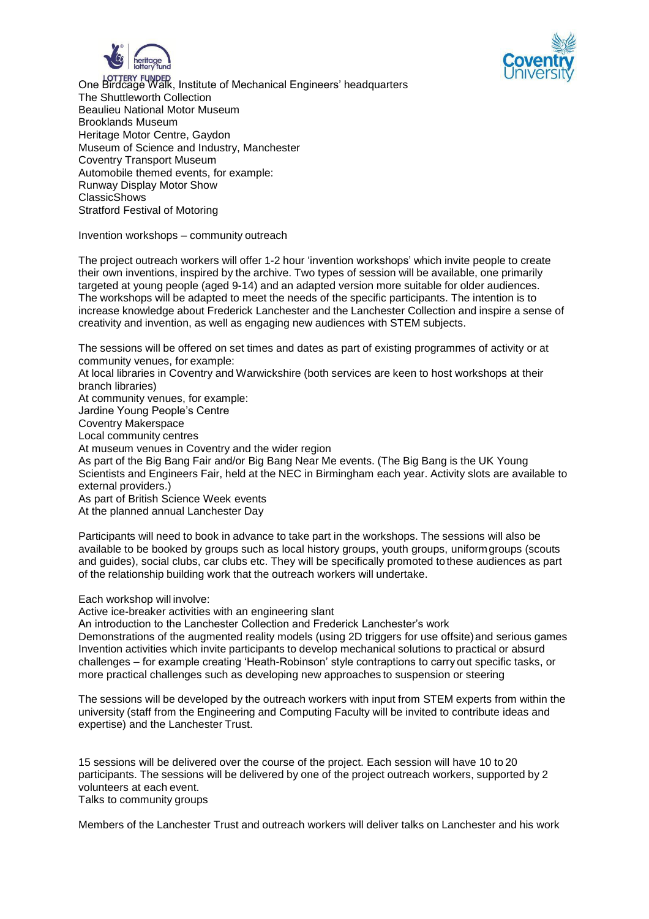



One Birdcage Walk, Institute of Mechanical Engineers' headquarters The Shuttleworth Collection Beaulieu National Motor Museum Brooklands Museum Heritage Motor Centre, Gaydon Museum of Science and Industry, Manchester Coventry Transport Museum Automobile themed events, for example: Runway Display Motor Show ClassicShows Stratford Festival of Motoring

Invention workshops – community outreach

The project outreach workers will offer 1-2 hour 'invention workshops' which invite people to create their own inventions, inspired by the archive. Two types of session will be available, one primarily targeted at young people (aged 9-14) and an adapted version more suitable for older audiences. The workshops will be adapted to meet the needs of the specific participants. The intention is to increase knowledge about Frederick Lanchester and the Lanchester Collection and inspire a sense of creativity and invention, as well as engaging new audiences with STEM subjects.

The sessions will be offered on set times and dates as part of existing programmes of activity or at community venues, for example:

At local libraries in Coventry and Warwickshire (both services are keen to host workshops at their branch libraries)

At community venues, for example:

Jardine Young People's Centre

Coventry Makerspace

Local community centres

At museum venues in Coventry and the wider region

As part of the Big Bang Fair and/or Big Bang Near Me events. (The Big Bang is the UK Young Scientists and Engineers Fair, held at the NEC in Birmingham each year. Activity slots are available to external providers.)

As part of British Science Week events At the planned annual Lanchester Day

Participants will need to book in advance to take part in the workshops. The sessions will also be available to be booked by groups such as local history groups, youth groups, uniformgroups (scouts and guides), social clubs, car clubs etc. They will be specifically promoted tothese audiences as part of the relationship building work that the outreach workers will undertake.

Each workshop will involve:

Active ice-breaker activities with an engineering slant

An introduction to the Lanchester Collection and Frederick Lanchester's work

Demonstrations of the augmented reality models (using 2D triggers for use offsite)and serious games Invention activities which invite participants to develop mechanical solutions to practical or absurd challenges – for example creating 'Heath-Robinson' style contraptions to carry out specific tasks, or more practical challenges such as developing new approaches to suspension or steering

The sessions will be developed by the outreach workers with input from STEM experts from within the university (staff from the Engineering and Computing Faculty will be invited to contribute ideas and expertise) and the Lanchester Trust.

15 sessions will be delivered over the course of the project. Each session will have 10 to 20 participants. The sessions will be delivered by one of the project outreach workers, supported by 2 volunteers at each event.

Talks to community groups

Members of the Lanchester Trust and outreach workers will deliver talks on Lanchester and his work